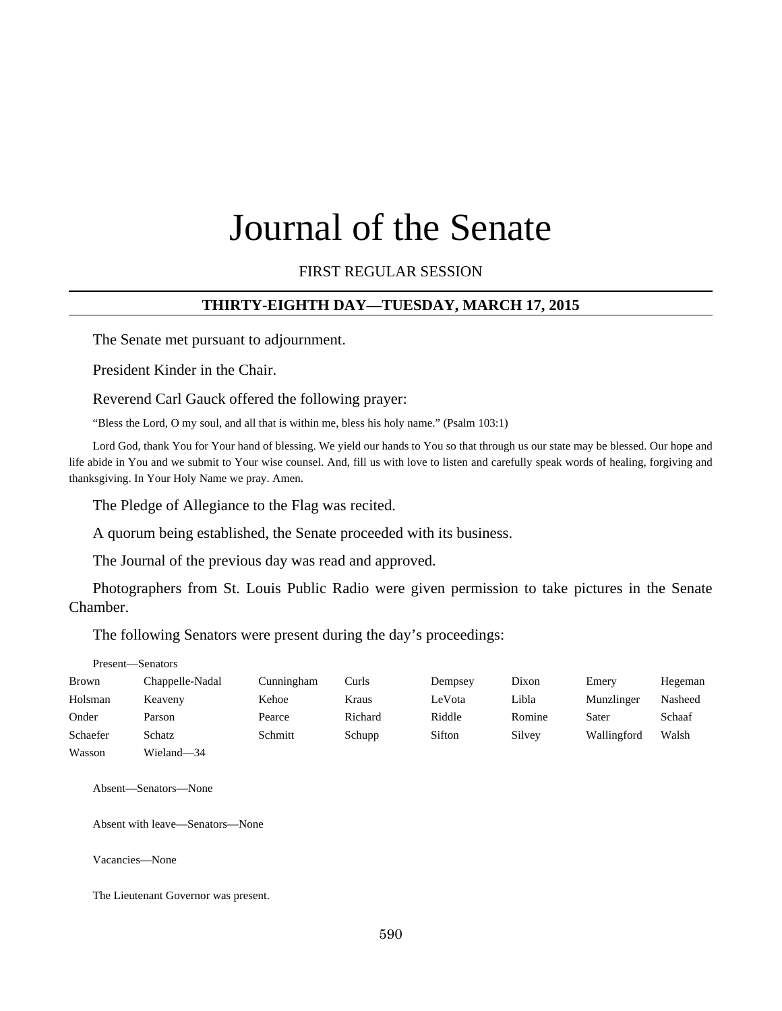# Journal of the Senate

## FIRST REGULAR SESSION

## **THIRTY-EIGHTH DAY—TUESDAY, MARCH 17, 2015**

The Senate met pursuant to adjournment.

President Kinder in the Chair.

Reverend Carl Gauck offered the following prayer:

"Bless the Lord, O my soul, and all that is within me, bless his holy name." (Psalm 103:1)

Lord God, thank You for Your hand of blessing. We yield our hands to You so that through us our state may be blessed. Our hope and life abide in You and we submit to Your wise counsel. And, fill us with love to listen and carefully speak words of healing, forgiving and thanksgiving. In Your Holy Name we pray. Amen.

The Pledge of Allegiance to the Flag was recited.

A quorum being established, the Senate proceeded with its business.

The Journal of the previous day was read and approved.

Photographers from St. Louis Public Radio were given permission to take pictures in the Senate Chamber.

The following Senators were present during the day's proceedings:

Present—Senators

| Brown    | Chappelle-Nadal | Cunningham | Curls   | Dempsey | Dixon  | Emery       | Hegeman |
|----------|-----------------|------------|---------|---------|--------|-------------|---------|
| Holsman  | Keaveny         | Kehoe      | Kraus   | LeVota  | Libla  | Munzlinger  | Nasheed |
| Onder    | Parson          | Pearce     | Richard | Riddle  | Romine | Sater       | Schaaf  |
| Schaefer | Schatz          | Schmitt    | Schupp  | Sifton  | Silvey | Wallingford | Walsh   |
| Wasson   | Wieland-34      |            |         |         |        |             |         |

Absent—Senators—None

Absent with leave—Senators—None

Vacancies—None

The Lieutenant Governor was present.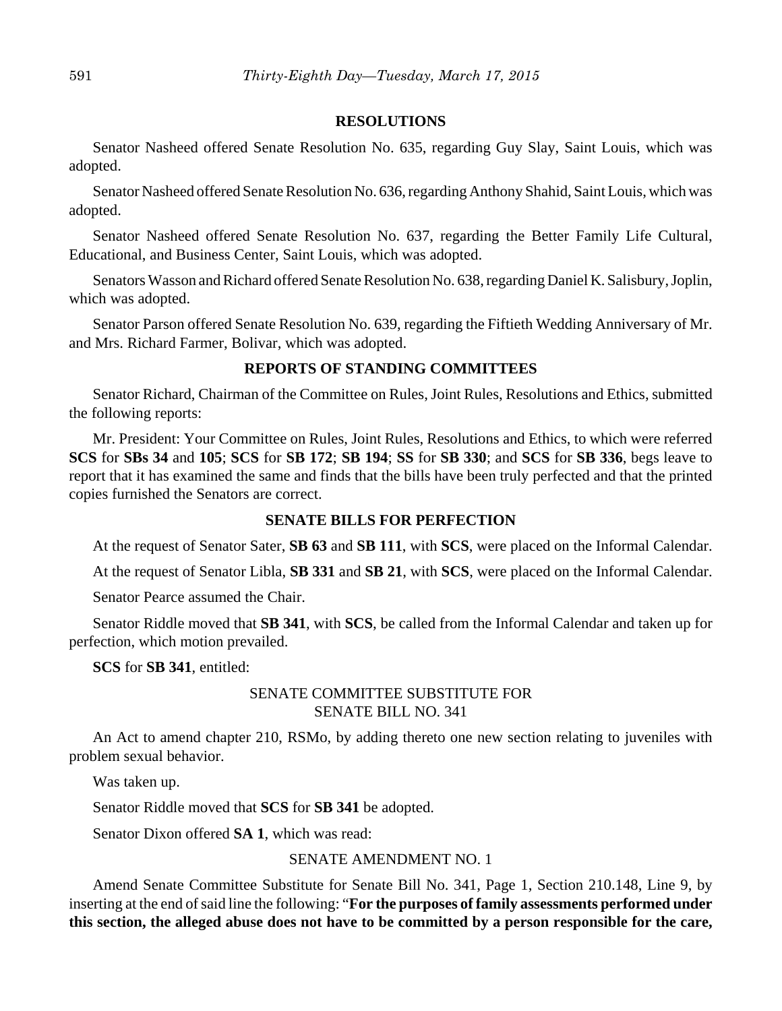#### **RESOLUTIONS**

Senator Nasheed offered Senate Resolution No. 635, regarding Guy Slay, Saint Louis, which was adopted.

Senator Nasheed offered Senate Resolution No. 636, regarding Anthony Shahid, Saint Louis, which was adopted.

Senator Nasheed offered Senate Resolution No. 637, regarding the Better Family Life Cultural, Educational, and Business Center, Saint Louis, which was adopted.

Senators Wasson and Richard offered Senate Resolution No. 638, regarding Daniel K. Salisbury, Joplin, which was adopted.

Senator Parson offered Senate Resolution No. 639, regarding the Fiftieth Wedding Anniversary of Mr. and Mrs. Richard Farmer, Bolivar, which was adopted.

## **REPORTS OF STANDING COMMITTEES**

Senator Richard, Chairman of the Committee on Rules, Joint Rules, Resolutions and Ethics, submitted the following reports:

Mr. President: Your Committee on Rules, Joint Rules, Resolutions and Ethics, to which were referred **SCS** for **SBs 34** and **105**; **SCS** for **SB 172**; **SB 194**; **SS** for **SB 330**; and **SCS** for **SB 336**, begs leave to report that it has examined the same and finds that the bills have been truly perfected and that the printed copies furnished the Senators are correct.

#### **SENATE BILLS FOR PERFECTION**

At the request of Senator Sater, **SB 63** and **SB 111**, with **SCS**, were placed on the Informal Calendar.

At the request of Senator Libla, **SB 331** and **SB 21**, with **SCS**, were placed on the Informal Calendar.

Senator Pearce assumed the Chair.

Senator Riddle moved that **SB 341**, with **SCS**, be called from the Informal Calendar and taken up for perfection, which motion prevailed.

**SCS** for **SB 341**, entitled:

## SENATE COMMITTEE SUBSTITUTE FOR SENATE BILL NO. 341

An Act to amend chapter 210, RSMo, by adding thereto one new section relating to juveniles with problem sexual behavior.

Was taken up.

Senator Riddle moved that **SCS** for **SB 341** be adopted.

Senator Dixon offered **SA 1**, which was read:

## SENATE AMENDMENT NO. 1

Amend Senate Committee Substitute for Senate Bill No. 341, Page 1, Section 210.148, Line 9, by inserting at the end of said line the following: "**For the purposes of family assessments performed under this section, the alleged abuse does not have to be committed by a person responsible for the care,**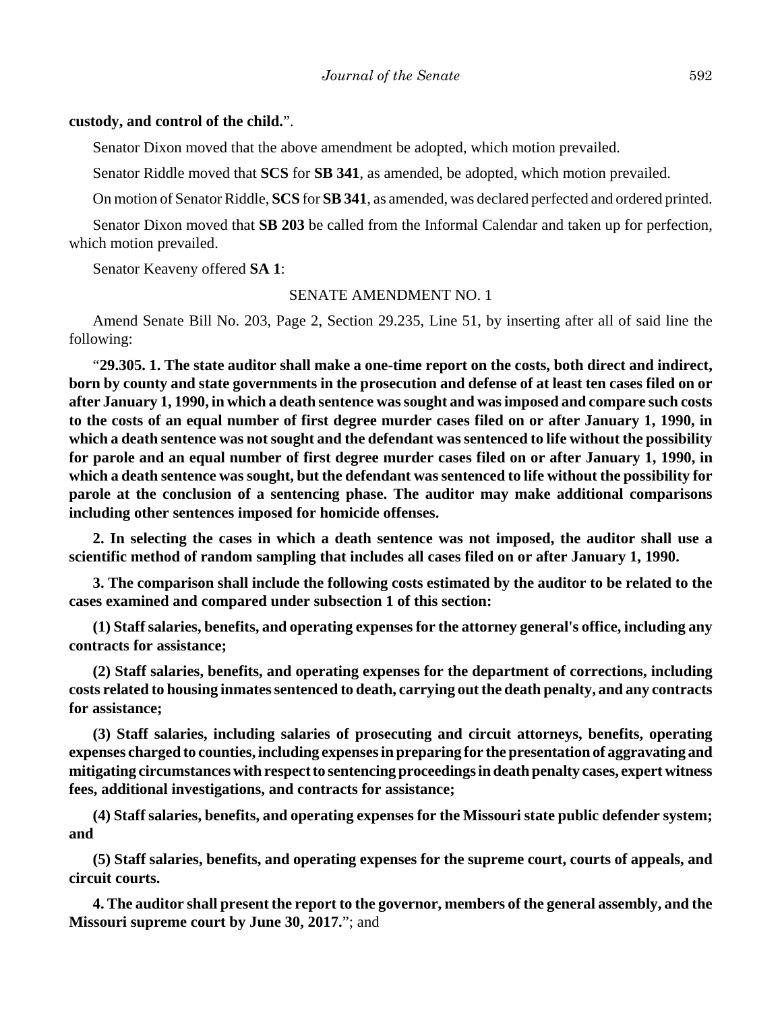#### **custody, and control of the child.**".

Senator Dixon moved that the above amendment be adopted, which motion prevailed.

Senator Riddle moved that **SCS** for **SB 341**, as amended, be adopted, which motion prevailed.

On motion of Senator Riddle, **SCS** for **SB 341**, as amended, was declared perfected and ordered printed.

Senator Dixon moved that **SB 203** be called from the Informal Calendar and taken up for perfection, which motion prevailed.

Senator Keaveny offered **SA 1**:

#### SENATE AMENDMENT NO. 1

Amend Senate Bill No. 203, Page 2, Section 29.235, Line 51, by inserting after all of said line the following:

"**29.305. 1. The state auditor shall make a one-time report on the costs, both direct and indirect, born by county and state governments in the prosecution and defense of at least ten cases filed on or after January 1, 1990, in which a death sentence was sought and was imposed and compare such costs to the costs of an equal number of first degree murder cases filed on or after January 1, 1990, in which a death sentence was not sought and the defendant was sentenced to life without the possibility for parole and an equal number of first degree murder cases filed on or after January 1, 1990, in which a death sentence was sought, but the defendant was sentenced to life without the possibility for parole at the conclusion of a sentencing phase. The auditor may make additional comparisons including other sentences imposed for homicide offenses.**

**2. In selecting the cases in which a death sentence was not imposed, the auditor shall use a scientific method of random sampling that includes all cases filed on or after January 1, 1990.**

**3. The comparison shall include the following costs estimated by the auditor to be related to the cases examined and compared under subsection 1 of this section:**

**(1) Staff salaries, benefits, and operating expenses for the attorney general's office, including any contracts for assistance;**

**(2) Staff salaries, benefits, and operating expenses for the department of corrections, including costs related to housing inmates sentenced to death, carrying out the death penalty, and any contracts for assistance;**

**(3) Staff salaries, including salaries of prosecuting and circuit attorneys, benefits, operating expenses charged to counties, including expenses in preparing for the presentation of aggravating and mitigating circumstances with respect to sentencing proceedings in death penalty cases, expert witness fees, additional investigations, and contracts for assistance;**

**(4) Staff salaries, benefits, and operating expenses for the Missouri state public defender system; and**

**(5) Staff salaries, benefits, and operating expenses for the supreme court, courts of appeals, and circuit courts.**

**4. The auditor shall present the report to the governor, members of the general assembly, and the Missouri supreme court by June 30, 2017.**"; and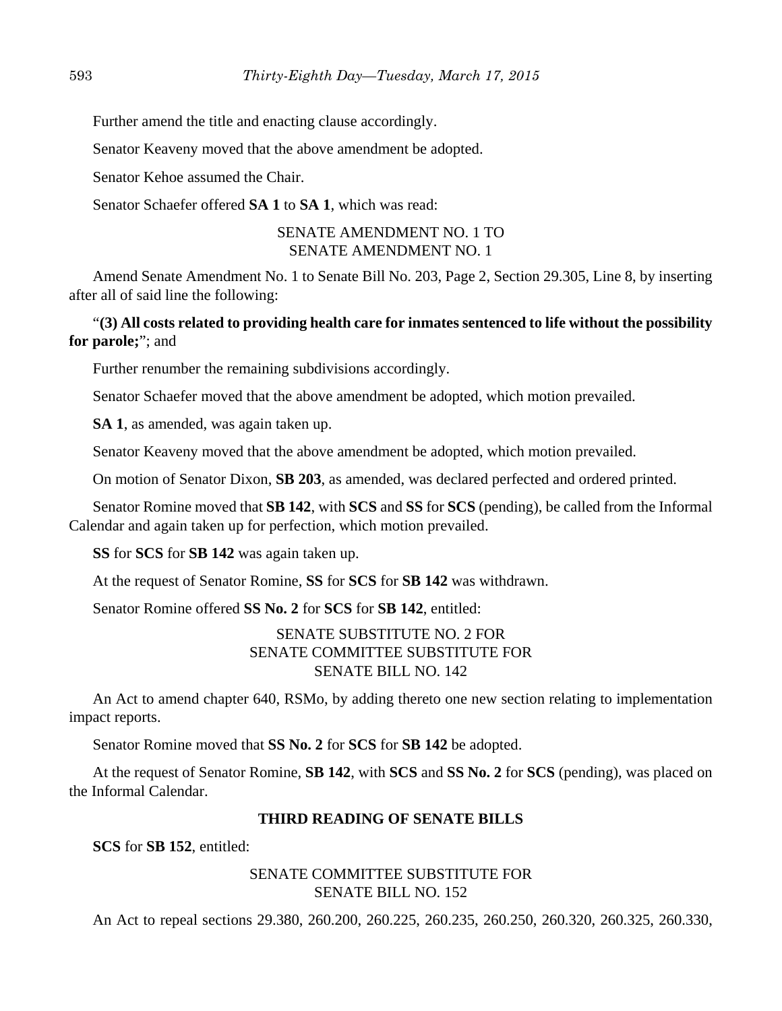Further amend the title and enacting clause accordingly.

Senator Keaveny moved that the above amendment be adopted.

Senator Kehoe assumed the Chair.

Senator Schaefer offered **SA 1** to **SA 1**, which was read:

# SENATE AMENDMENT NO. 1 TO SENATE AMENDMENT NO. 1

Amend Senate Amendment No. 1 to Senate Bill No. 203, Page 2, Section 29.305, Line 8, by inserting after all of said line the following:

# "**(3) All costs related to providing health care for inmates sentenced to life without the possibility for parole;**"; and

Further renumber the remaining subdivisions accordingly.

Senator Schaefer moved that the above amendment be adopted, which motion prevailed.

**SA 1**, as amended, was again taken up.

Senator Keaveny moved that the above amendment be adopted, which motion prevailed.

On motion of Senator Dixon, **SB 203**, as amended, was declared perfected and ordered printed.

Senator Romine moved that **SB 142**, with **SCS** and **SS** for **SCS** (pending), be called from the Informal Calendar and again taken up for perfection, which motion prevailed.

**SS** for **SCS** for **SB 142** was again taken up.

At the request of Senator Romine, **SS** for **SCS** for **SB 142** was withdrawn.

Senator Romine offered **SS No. 2** for **SCS** for **SB 142**, entitled:

# SENATE SUBSTITUTE NO. 2 FOR SENATE COMMITTEE SUBSTITUTE FOR SENATE BILL NO. 142

An Act to amend chapter 640, RSMo, by adding thereto one new section relating to implementation impact reports.

Senator Romine moved that **SS No. 2** for **SCS** for **SB 142** be adopted.

At the request of Senator Romine, **SB 142**, with **SCS** and **SS No. 2** for **SCS** (pending), was placed on the Informal Calendar.

# **THIRD READING OF SENATE BILLS**

**SCS** for **SB 152**, entitled:

# SENATE COMMITTEE SUBSTITUTE FOR SENATE BILL NO. 152

An Act to repeal sections 29.380, 260.200, 260.225, 260.235, 260.250, 260.320, 260.325, 260.330,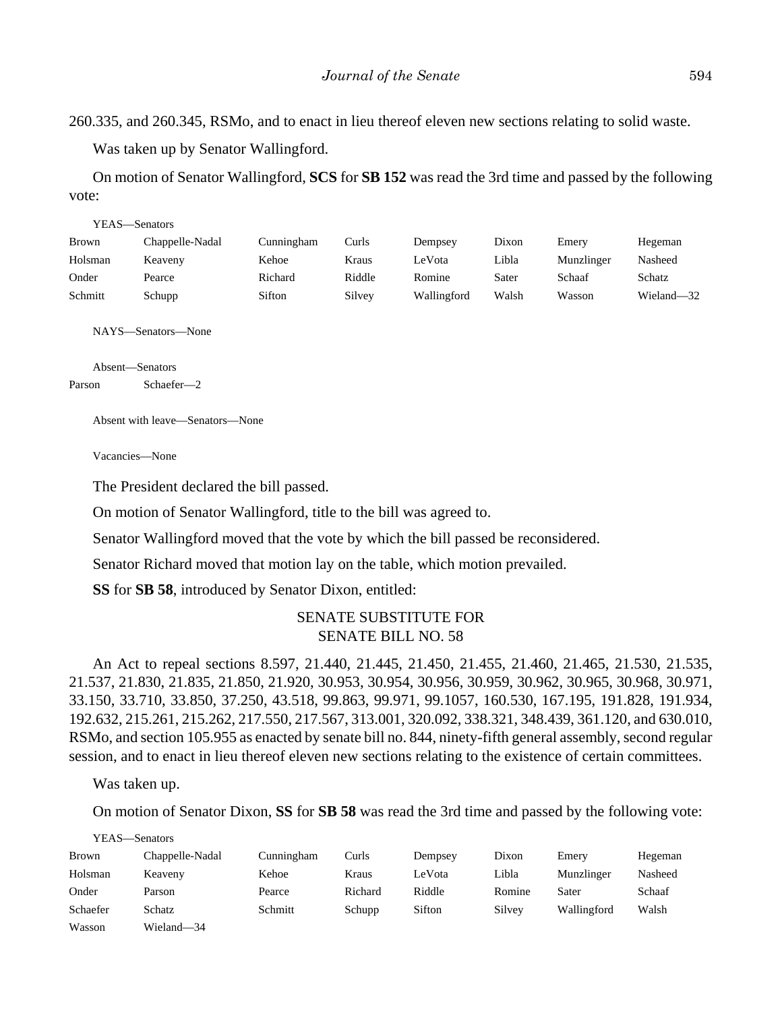260.335, and 260.345, RSMo, and to enact in lieu thereof eleven new sections relating to solid waste.

Was taken up by Senator Wallingford.

On motion of Senator Wallingford, **SCS** for **SB 152** was read the 3rd time and passed by the following vote:

| YEAS—Senators |                 |            |        |             |       |            |            |
|---------------|-----------------|------------|--------|-------------|-------|------------|------------|
| Brown         | Chappelle-Nadal | Cunningham | Curls  | Dempsey     | Dixon | Emery      | Hegeman    |
| Holsman       | Keaveny         | Kehoe      | Kraus  | LeVota      | Libla | Munzlinger | Nasheed    |
| Onder         | Pearce          | Richard    | Riddle | Romine      | Sater | Schaaf     | Schatz     |
| Schmitt       | Schupp          | Sifton     | Silvey | Wallingford | Walsh | Wasson     | Wieland-32 |

NAYS—Senators—None

Absent—Senators Parson Schaefer—2

Absent with leave—Senators—None

Vacancies—None

The President declared the bill passed.

On motion of Senator Wallingford, title to the bill was agreed to.

Senator Wallingford moved that the vote by which the bill passed be reconsidered.

Senator Richard moved that motion lay on the table, which motion prevailed.

**SS** for **SB 58**, introduced by Senator Dixon, entitled:

# SENATE SUBSTITUTE FOR SENATE BILL NO. 58

An Act to repeal sections 8.597, 21.440, 21.445, 21.450, 21.455, 21.460, 21.465, 21.530, 21.535, 21.537, 21.830, 21.835, 21.850, 21.920, 30.953, 30.954, 30.956, 30.959, 30.962, 30.965, 30.968, 30.971, 33.150, 33.710, 33.850, 37.250, 43.518, 99.863, 99.971, 99.1057, 160.530, 167.195, 191.828, 191.934, 192.632, 215.261, 215.262, 217.550, 217.567, 313.001, 320.092, 338.321, 348.439, 361.120, and 630.010, RSMo, and section 105.955 as enacted by senate bill no. 844, ninety-fifth general assembly, second regular session, and to enact in lieu thereof eleven new sections relating to the existence of certain committees.

Was taken up.

 $YFAS = S$ 

On motion of Senator Dixon, **SS** for **SB 58** was read the 3rd time and passed by the following vote:

| r e as—senators |                 |            |         |         |        |             |         |
|-----------------|-----------------|------------|---------|---------|--------|-------------|---------|
| Brown           | Chappelle-Nadal | Cunningham | Curls   | Dempsey | Dixon  | Emery       | Hegeman |
| Holsman         | Keaveny         | Kehoe      | Kraus   | LeVota  | Libla  | Munzlinger  | Nasheed |
| Onder           | Parson          | Pearce     | Richard | Riddle  | Romine | Sater       | Schaaf  |
| Schaefer        | Schatz          | Schmitt    | Schupp  | Sifton  | Silvey | Wallingford | Walsh   |
| Wasson          | Wieland—34      |            |         |         |        |             |         |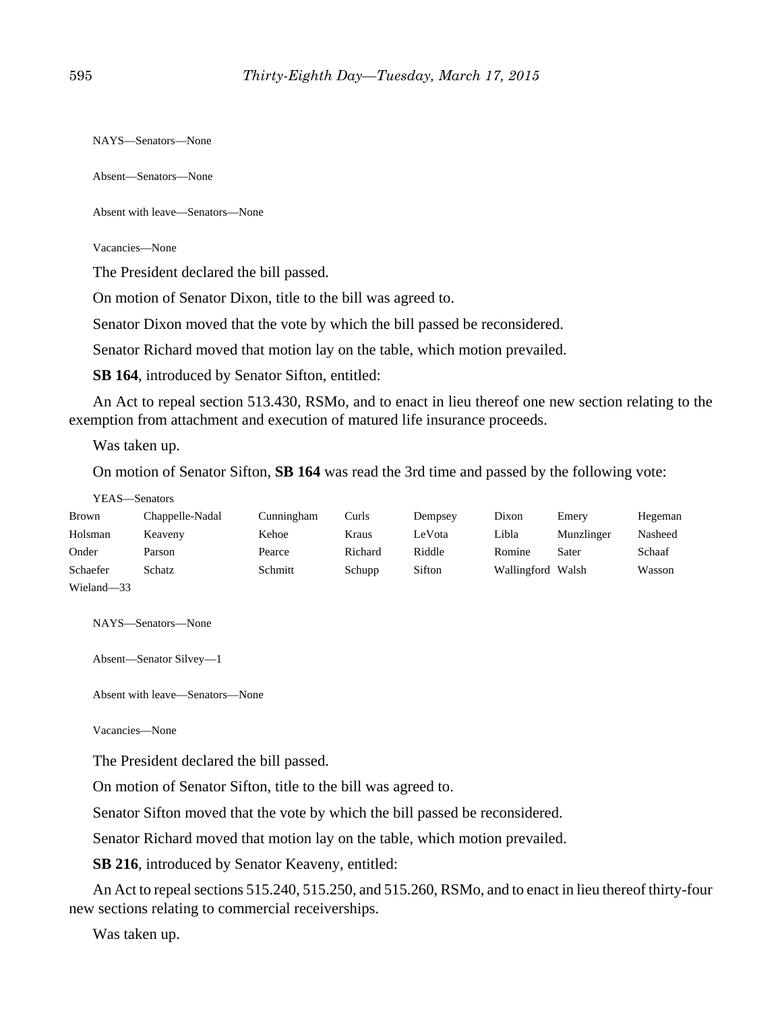NAYS—Senators—None

Absent—Senators—None

Absent with leave—Senators—None

Vacancies—None

The President declared the bill passed.

On motion of Senator Dixon, title to the bill was agreed to.

Senator Dixon moved that the vote by which the bill passed be reconsidered.

Senator Richard moved that motion lay on the table, which motion prevailed.

**SB 164**, introduced by Senator Sifton, entitled:

An Act to repeal section 513.430, RSMo, and to enact in lieu thereof one new section relating to the exemption from attachment and execution of matured life insurance proceeds.

Was taken up.

On motion of Senator Sifton, **SB 164** was read the 3rd time and passed by the following vote:

YEAS—Senators

| Brown                 | Chappelle-Nadal | Cunningham | Curls   | Dempsey | Dixon       | Emery      | Hegeman |
|-----------------------|-----------------|------------|---------|---------|-------------|------------|---------|
| Holsman               | Keaveny         | Kehoe      | Kraus   | LeVota  | Libla       | Munzlinger | Nasheed |
| Onder                 | Parson          | Pearce     | Richard | Riddle  | Romine      | Sater      | Schaaf  |
| Schaefer              | Schatz          | Schmitt    | Schupp  | Sifton  | Wallingford | Walsh      | Wasson  |
| $-1$<br>$\sim$ $\sim$ |                 |            |         |         |             |            |         |

Wieland—33

NAYS—Senators—None

Absent—Senator Silvey—1

Absent with leave—Senators—None

Vacancies—None

The President declared the bill passed.

On motion of Senator Sifton, title to the bill was agreed to.

Senator Sifton moved that the vote by which the bill passed be reconsidered.

Senator Richard moved that motion lay on the table, which motion prevailed.

**SB 216**, introduced by Senator Keaveny, entitled:

An Act to repeal sections 515.240, 515.250, and 515.260, RSMo, and to enact in lieu thereof thirty-four new sections relating to commercial receiverships.

Was taken up.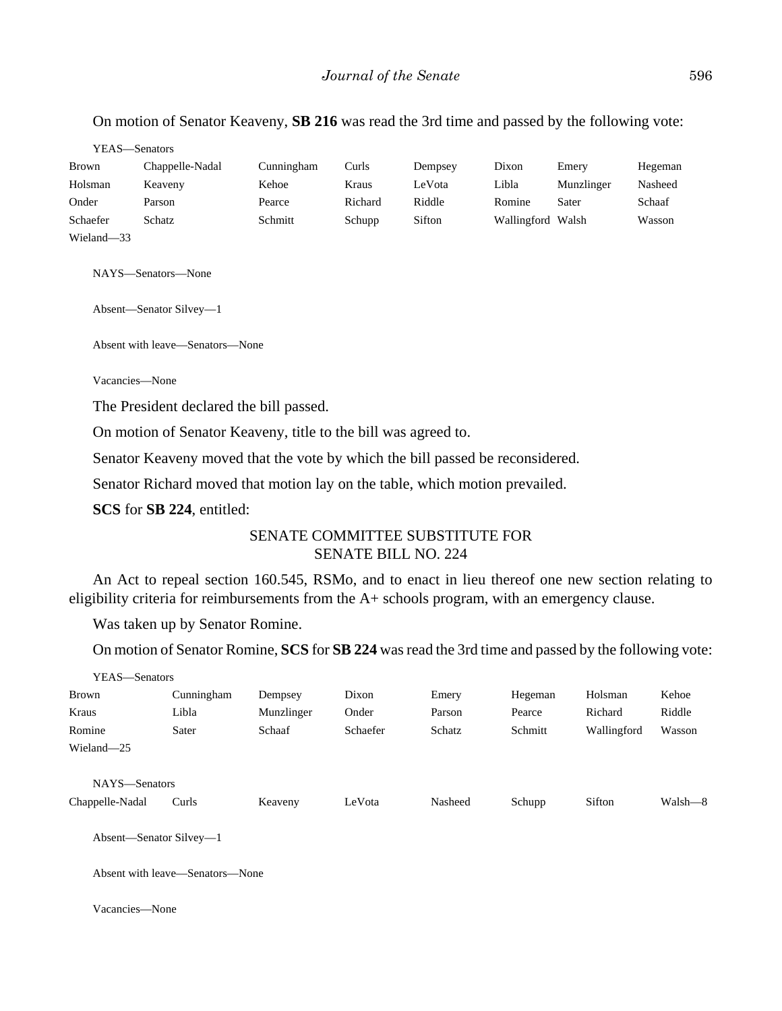## On motion of Senator Keaveny, **SB 216** was read the 3rd time and passed by the following vote:

| YEAS—Senators |                 |            |         |         |                   |            |         |
|---------------|-----------------|------------|---------|---------|-------------------|------------|---------|
| <b>Brown</b>  | Chappelle-Nadal | Cunningham | Curls   | Dempsey | Dixon             | Emery      | Hegeman |
| Holsman       | Keaveny         | Kehoe      | Kraus   | LeVota  | Libla             | Munzlinger | Nasheed |
| Onder         | Parson          | Pearce     | Richard | Riddle  | Romine            | Sater      | Schaaf  |
| Schaefer      | Schatz          | Schmitt    | Schupp  | Sifton  | Wallingford Walsh |            | Wasson  |
| Wieland-33    |                 |            |         |         |                   |            |         |

NAYS—Senators—None

Absent—Senator Silvey—1

Absent with leave—Senators—None

Vacancies—None

The President declared the bill passed.

On motion of Senator Keaveny, title to the bill was agreed to.

Senator Keaveny moved that the vote by which the bill passed be reconsidered.

Senator Richard moved that motion lay on the table, which motion prevailed.

**SCS** for **SB 224**, entitled:

# SENATE COMMITTEE SUBSTITUTE FOR SENATE BILL NO. 224

An Act to repeal section 160.545, RSMo, and to enact in lieu thereof one new section relating to eligibility criteria for reimbursements from the A+ schools program, with an emergency clause.

Was taken up by Senator Romine.

On motion of Senator Romine, **SCS** for **SB 224** was read the 3rd time and passed by the following vote:

| YEAS—Senators   |            |            |          |         |         |             |         |
|-----------------|------------|------------|----------|---------|---------|-------------|---------|
| <b>Brown</b>    | Cunningham | Dempsey    | Dixon    | Emery   | Hegeman | Holsman     | Kehoe   |
| Kraus           | Libla      | Munzlinger | Onder    | Parson  | Pearce  | Richard     | Riddle  |
| Romine          | Sater      | Schaaf     | Schaefer | Schatz  | Schmitt | Wallingford | Wasson  |
| Wieland-25      |            |            |          |         |         |             |         |
|                 |            |            |          |         |         |             |         |
| NAYS-Senators   |            |            |          |         |         |             |         |
| Chappelle-Nadal | Curls      | Keaveny    | LeVota   | Nasheed | Schupp  | Sifton      | Walsh—8 |
|                 |            |            |          |         |         |             |         |

Absent—Senator Silvey—1

Absent with leave—Senators—None

Vacancies—None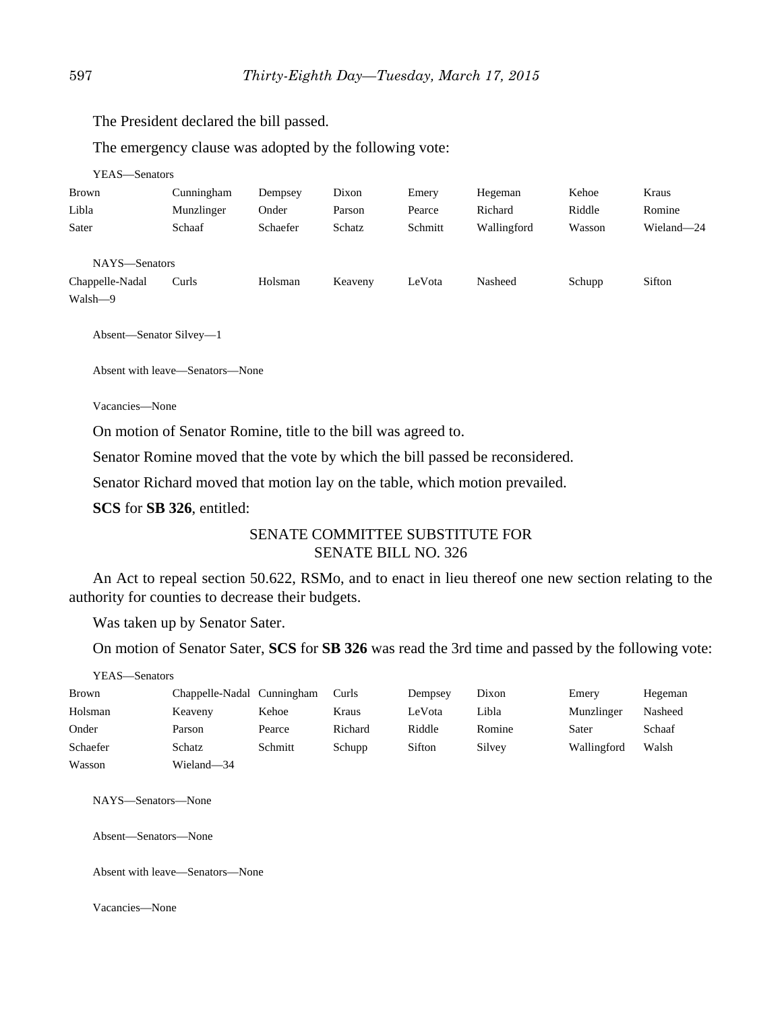The President declared the bill passed.

The emergency clause was adopted by the following vote:

YEAS—Senators

| <b>Brown</b>    | Cunningham | Dempsey  | Dixon   | Emery   | Hegeman     | Kehoe  | Kraus      |
|-----------------|------------|----------|---------|---------|-------------|--------|------------|
| Libla           | Munzlinger | Onder    | Parson  | Pearce  | Richard     | Riddle | Romine     |
| Sater           | Schaaf     | Schaefer | Schatz  | Schmitt | Wallingford | Wasson | Wieland-24 |
|                 |            |          |         |         |             |        |            |
| NAYS-Senators   |            |          |         |         |             |        |            |
| Chappelle-Nadal | Curls      | Holsman  | Keaveny | LeVota  | Nasheed     | Schupp | Sifton     |
| Walsh-9         |            |          |         |         |             |        |            |

Absent—Senator Silvey—1

Absent with leave—Senators—None

Vacancies—None

On motion of Senator Romine, title to the bill was agreed to.

Senator Romine moved that the vote by which the bill passed be reconsidered.

Senator Richard moved that motion lay on the table, which motion prevailed.

**SCS** for **SB 326**, entitled:

# SENATE COMMITTEE SUBSTITUTE FOR SENATE BILL NO. 326

An Act to repeal section 50.622, RSMo, and to enact in lieu thereof one new section relating to the authority for counties to decrease their budgets.

Was taken up by Senator Sater.

On motion of Senator Sater, **SCS** for **SB 326** was read the 3rd time and passed by the following vote:

YEAS—Senators

| Brown    | Chappelle-Nadal Cunningham |         | Curls   | Dempsey | Dixon  | Emery       | Hegeman |
|----------|----------------------------|---------|---------|---------|--------|-------------|---------|
| Holsman  | Keaveny                    | Kehoe   | Kraus   | LeVota  | Libla  | Munzlinger  | Nasheed |
| Onder    | Parson                     | Pearce  | Richard | Riddle  | Romine | Sater       | Schaaf  |
| Schaefer | Schatz                     | Schmitt | Schupp  | Sifton  | Silvey | Wallingford | Walsh   |
| Wasson   | Wieland-34                 |         |         |         |        |             |         |

NAYS—Senators—None

Absent—Senators—None

Absent with leave—Senators—None

Vacancies—None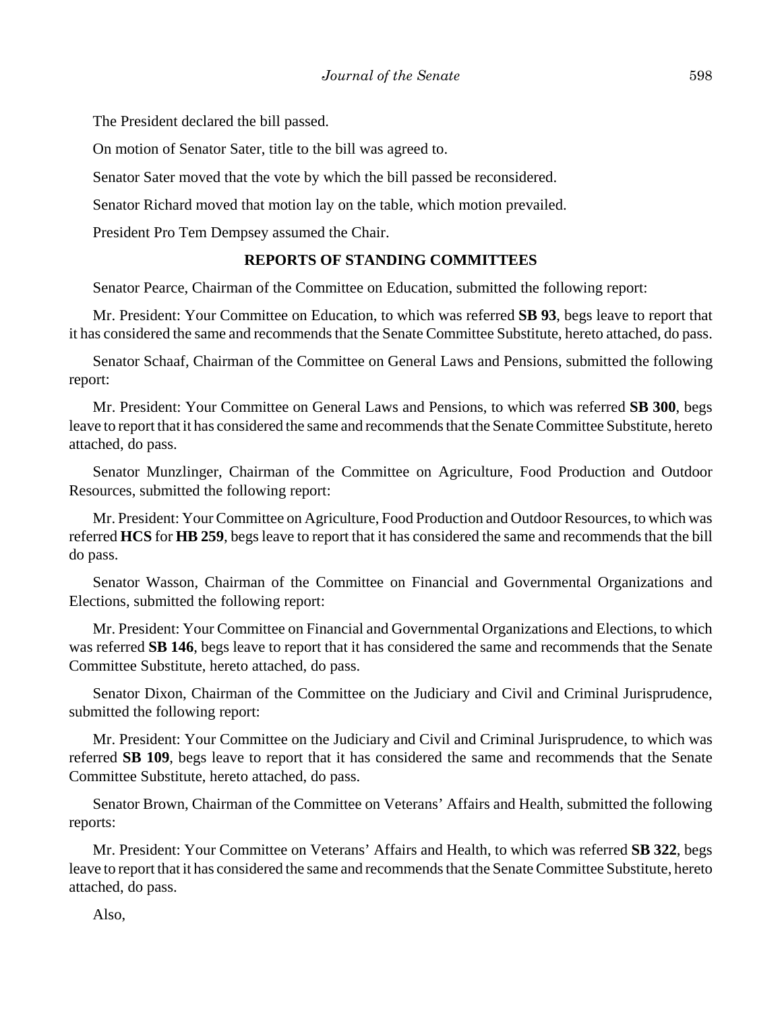The President declared the bill passed.

On motion of Senator Sater, title to the bill was agreed to.

Senator Sater moved that the vote by which the bill passed be reconsidered.

Senator Richard moved that motion lay on the table, which motion prevailed.

President Pro Tem Dempsey assumed the Chair.

## **REPORTS OF STANDING COMMITTEES**

Senator Pearce, Chairman of the Committee on Education, submitted the following report:

Mr. President: Your Committee on Education, to which was referred **SB 93**, begs leave to report that it has considered the same and recommends that the Senate Committee Substitute, hereto attached, do pass.

Senator Schaaf, Chairman of the Committee on General Laws and Pensions, submitted the following report:

Mr. President: Your Committee on General Laws and Pensions, to which was referred **SB 300**, begs leave to report that it has considered the same and recommends that the Senate Committee Substitute, hereto attached, do pass.

Senator Munzlinger, Chairman of the Committee on Agriculture, Food Production and Outdoor Resources, submitted the following report:

Mr. President: Your Committee on Agriculture, Food Production and Outdoor Resources, to which was referred **HCS** for **HB 259**, begs leave to report that it has considered the same and recommends that the bill do pass.

Senator Wasson, Chairman of the Committee on Financial and Governmental Organizations and Elections, submitted the following report:

Mr. President: Your Committee on Financial and Governmental Organizations and Elections, to which was referred **SB 146**, begs leave to report that it has considered the same and recommends that the Senate Committee Substitute, hereto attached, do pass.

Senator Dixon, Chairman of the Committee on the Judiciary and Civil and Criminal Jurisprudence, submitted the following report:

Mr. President: Your Committee on the Judiciary and Civil and Criminal Jurisprudence, to which was referred **SB 109**, begs leave to report that it has considered the same and recommends that the Senate Committee Substitute, hereto attached, do pass.

Senator Brown, Chairman of the Committee on Veterans' Affairs and Health, submitted the following reports:

Mr. President: Your Committee on Veterans' Affairs and Health, to which was referred **SB 322**, begs leave to report that it has considered the same and recommends that the Senate Committee Substitute, hereto attached, do pass.

Also,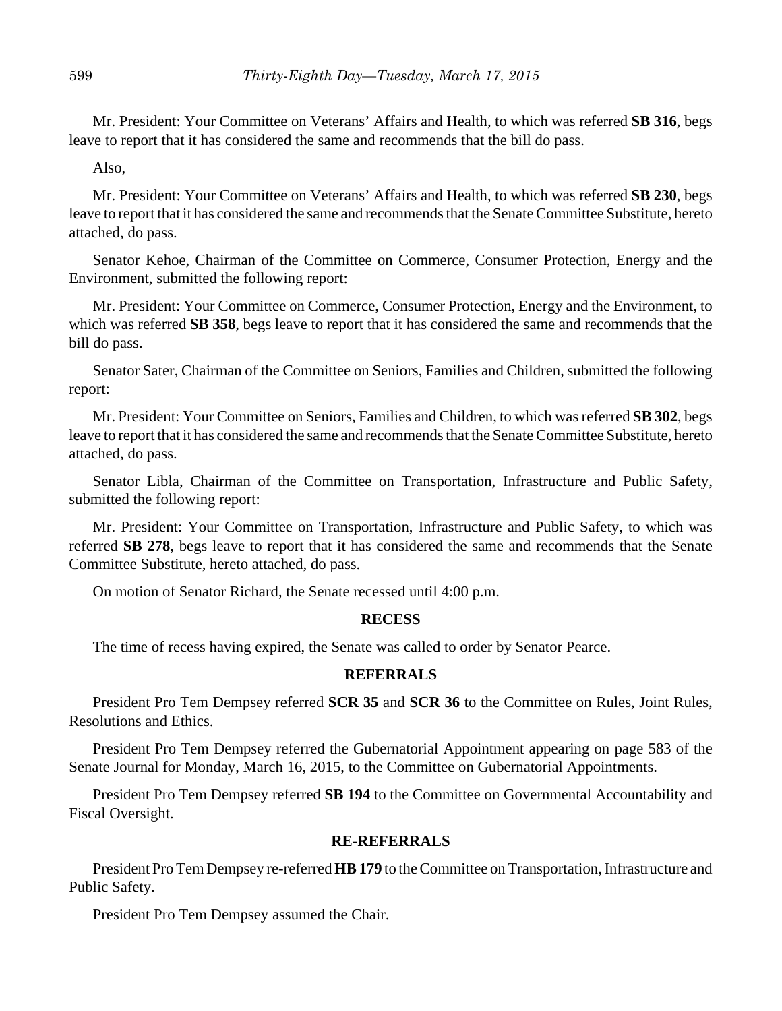Mr. President: Your Committee on Veterans' Affairs and Health, to which was referred **SB 316**, begs leave to report that it has considered the same and recommends that the bill do pass.

Also,

Mr. President: Your Committee on Veterans' Affairs and Health, to which was referred **SB 230**, begs leave to report that it has considered the same and recommends that the Senate Committee Substitute, hereto attached, do pass.

Senator Kehoe, Chairman of the Committee on Commerce, Consumer Protection, Energy and the Environment, submitted the following report:

Mr. President: Your Committee on Commerce, Consumer Protection, Energy and the Environment, to which was referred **SB 358**, begs leave to report that it has considered the same and recommends that the bill do pass.

Senator Sater, Chairman of the Committee on Seniors, Families and Children, submitted the following report:

Mr. President: Your Committee on Seniors, Families and Children, to which was referred **SB 302**, begs leave to report that it has considered the same and recommends that the Senate Committee Substitute, hereto attached, do pass.

Senator Libla, Chairman of the Committee on Transportation, Infrastructure and Public Safety, submitted the following report:

Mr. President: Your Committee on Transportation, Infrastructure and Public Safety, to which was referred **SB 278**, begs leave to report that it has considered the same and recommends that the Senate Committee Substitute, hereto attached, do pass.

On motion of Senator Richard, the Senate recessed until 4:00 p.m.

# **RECESS**

The time of recess having expired, the Senate was called to order by Senator Pearce.

# **REFERRALS**

President Pro Tem Dempsey referred **SCR 35** and **SCR 36** to the Committee on Rules, Joint Rules, Resolutions and Ethics.

President Pro Tem Dempsey referred the Gubernatorial Appointment appearing on page 583 of the Senate Journal for Monday, March 16, 2015, to the Committee on Gubernatorial Appointments.

President Pro Tem Dempsey referred **SB 194** to the Committee on Governmental Accountability and Fiscal Oversight.

# **RE-REFERRALS**

President Pro Tem Dempsey re-referred **HB 179** to the Committee on Transportation, Infrastructure and Public Safety.

President Pro Tem Dempsey assumed the Chair.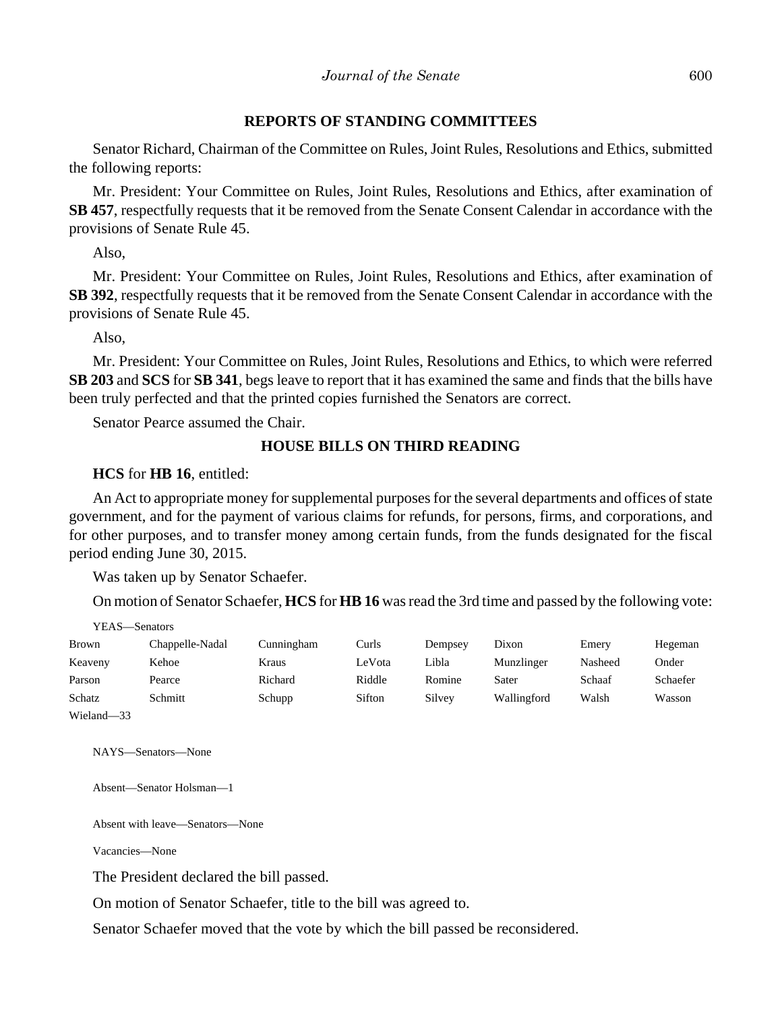## **REPORTS OF STANDING COMMITTEES**

Senator Richard, Chairman of the Committee on Rules, Joint Rules, Resolutions and Ethics, submitted the following reports:

Mr. President: Your Committee on Rules, Joint Rules, Resolutions and Ethics, after examination of **SB 457**, respectfully requests that it be removed from the Senate Consent Calendar in accordance with the provisions of Senate Rule 45.

Also,

Mr. President: Your Committee on Rules, Joint Rules, Resolutions and Ethics, after examination of **SB 392**, respectfully requests that it be removed from the Senate Consent Calendar in accordance with the provisions of Senate Rule 45.

Also,

Mr. President: Your Committee on Rules, Joint Rules, Resolutions and Ethics, to which were referred **SB 203** and **SCS** for **SB 341**, begs leave to report that it has examined the same and finds that the bills have been truly perfected and that the printed copies furnished the Senators are correct.

Senator Pearce assumed the Chair.

# **HOUSE BILLS ON THIRD READING**

**HCS** for **HB 16**, entitled:

An Act to appropriate money for supplemental purposes for the several departments and offices of state government, and for the payment of various claims for refunds, for persons, firms, and corporations, and for other purposes, and to transfer money among certain funds, from the funds designated for the fiscal period ending June 30, 2015.

Was taken up by Senator Schaefer.

On motion of Senator Schaefer, **HCS** for **HB 16** was read the 3rd time and passed by the following vote:

|            | . <i>.</i>      |            |        |         |             |         |          |
|------------|-----------------|------------|--------|---------|-------------|---------|----------|
| Brown      | Chappelle-Nadal | Cunningham | Curls  | Dempsey | Dixon       | Emery   | Hegeman  |
| Keaveny    | Kehoe           | Kraus      | LeVota | Libla   | Munzlinger  | Nasheed | Onder    |
| Parson     | Pearce          | Richard    | Riddle | Romine  | Sater       | Schaaf  | Schaefer |
| Schatz     | Schmitt         | Schupp     | Sifton | Silvey  | Wallingford | Walsh   | Wasson   |
| Wieland-33 |                 |            |        |         |             |         |          |

NAYS—Senators—None

 $VEAC$  Constors

Absent—Senator Holsman—1

Absent with leave—Senators—None

Vacancies—None

The President declared the bill passed.

On motion of Senator Schaefer, title to the bill was agreed to.

Senator Schaefer moved that the vote by which the bill passed be reconsidered.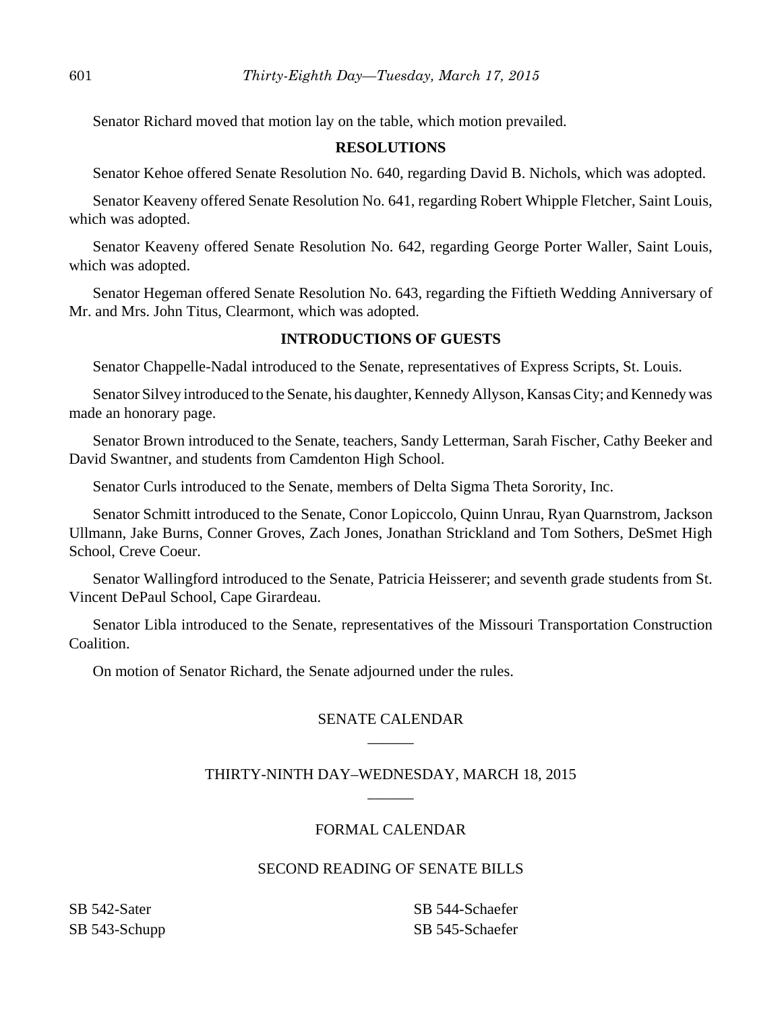Senator Richard moved that motion lay on the table, which motion prevailed.

## **RESOLUTIONS**

Senator Kehoe offered Senate Resolution No. 640, regarding David B. Nichols, which was adopted.

Senator Keaveny offered Senate Resolution No. 641, regarding Robert Whipple Fletcher, Saint Louis, which was adopted.

Senator Keaveny offered Senate Resolution No. 642, regarding George Porter Waller, Saint Louis, which was adopted.

Senator Hegeman offered Senate Resolution No. 643, regarding the Fiftieth Wedding Anniversary of Mr. and Mrs. John Titus, Clearmont, which was adopted.

## **INTRODUCTIONS OF GUESTS**

Senator Chappelle-Nadal introduced to the Senate, representatives of Express Scripts, St. Louis.

Senator Silvey introduced to the Senate, his daughter, Kennedy Allyson, Kansas City; and Kennedy was made an honorary page.

Senator Brown introduced to the Senate, teachers, Sandy Letterman, Sarah Fischer, Cathy Beeker and David Swantner, and students from Camdenton High School.

Senator Curls introduced to the Senate, members of Delta Sigma Theta Sorority, Inc.

Senator Schmitt introduced to the Senate, Conor Lopiccolo, Quinn Unrau, Ryan Quarnstrom, Jackson Ullmann, Jake Burns, Conner Groves, Zach Jones, Jonathan Strickland and Tom Sothers, DeSmet High School, Creve Coeur.

Senator Wallingford introduced to the Senate, Patricia Heisserer; and seventh grade students from St. Vincent DePaul School, Cape Girardeau.

Senator Libla introduced to the Senate, representatives of the Missouri Transportation Construction Coalition.

On motion of Senator Richard, the Senate adjourned under the rules.

# SENATE CALENDAR \_\_\_\_\_\_

# THIRTY-NINTH DAY–WEDNESDAY, MARCH 18, 2015 \_\_\_\_\_\_

## FORMAL CALENDAR

## SECOND READING OF SENATE BILLS

SB 542-Sater SB 543-Schupp SB 544-Schaefer SB 545-Schaefer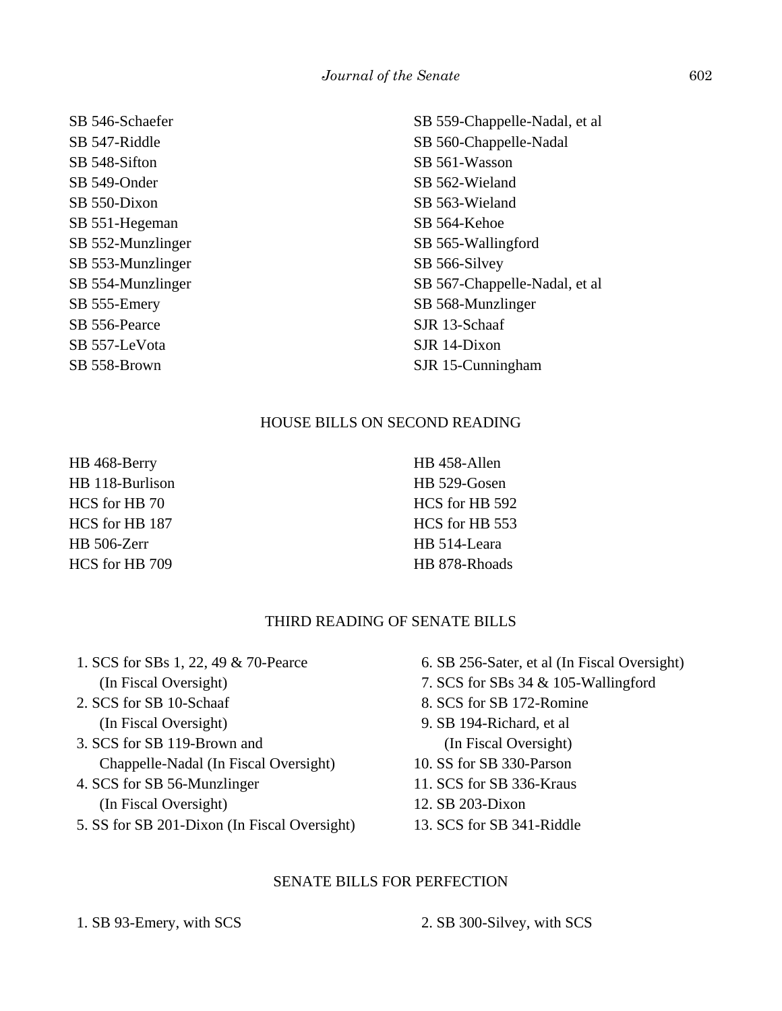SB 546-Schaefer SB 547-Riddle SB 548-Sifton SB 549-Onder SB 550-Dixon SB 551-Hegeman SB 552-Munzlinger SB 553-Munzlinger SB 554-Munzlinger SB 555-Emery SB 556-Pearce SB 557-LeVota SB 558-Brown

# SB 559-Chappelle-Nadal, et al SB 560-Chappelle-Nadal SB 561-Wasson SB 562-Wieland SB 563-Wieland SB 564-Kehoe SB 565-Wallingford SB 566-Silvey SB 567-Chappelle-Nadal, et al SB 568-Munzlinger SJR 13-Schaaf SJR 14-Dixon SJR 15-Cunningham

## HOUSE BILLS ON SECOND READING

HB 468-Berry HB 118-Burlison HCS for HB 70 HCS for HB 187 HB 506-Zerr HCS for HB 709

HB 458-Allen HB 529-Gosen HCS for HB 592 HCS for HB 553 HB 514-Leara HB 878-Rhoads

# THIRD READING OF SENATE BILLS

 1. SCS for SBs 1, 22, 49 & 70-Pearce (In Fiscal Oversight) 2. SCS for SB 10-Schaaf (In Fiscal Oversight) 3. SCS for SB 119-Brown and Chappelle-Nadal (In Fiscal Oversight) 4. SCS for SB 56-Munzlinger (In Fiscal Oversight) 5. SS for SB 201-Dixon (In Fiscal Oversight) 12. SB 203-Dixon

# SENATE BILLS FOR PERFECTION

1. SB 93-Emery, with SCS 2. SB 300-Silvey, with SCS

- 6. SB 256-Sater, et al (In Fiscal Oversight)
- 7. SCS for SBs 34 & 105-Wallingford
- 8. SCS for SB 172-Romine
- 9. SB 194-Richard, et al (In Fiscal Oversight)
- 10. SS for SB 330-Parson
- 11. SCS for SB 336-Kraus
- 13. SCS for SB 341-Riddle